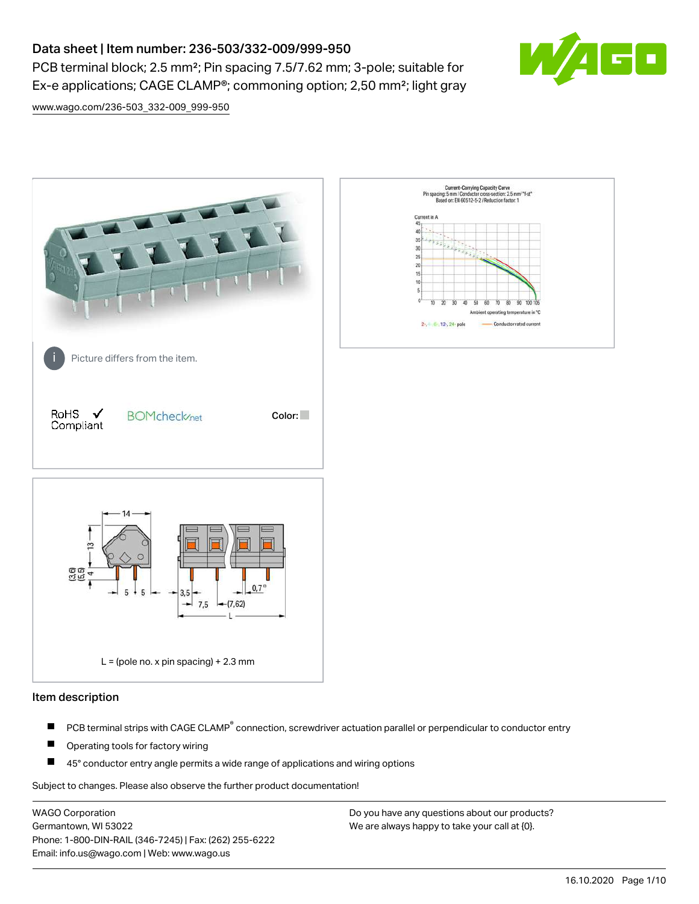# Data sheet | Item number: 236-503/332-009/999-950

PCB terminal block; 2.5 mm²; Pin spacing 7.5/7.62 mm; 3-pole; suitable for Ex-e applications; CAGE CLAMP®; commoning option; 2,50 mm²; light gray



[www.wago.com/236-503\\_332-009\\_999-950](http://www.wago.com/236-503_332-009_999-950)



#### Item description

- PCB terminal strips with CAGE CLAMP<sup>®</sup> connection, screwdriver actuation parallel or perpendicular to conductor entry П
- П Operating tools for factory wiring
- П 45° conductor entry angle permits a wide range of applications and wiring options

Subject to changes. Please also observe the further product documentation!

WAGO Corporation Germantown, WI 53022 Phone: 1-800-DIN-RAIL (346-7245) | Fax: (262) 255-6222 Email: info.us@wago.com | Web: www.wago.us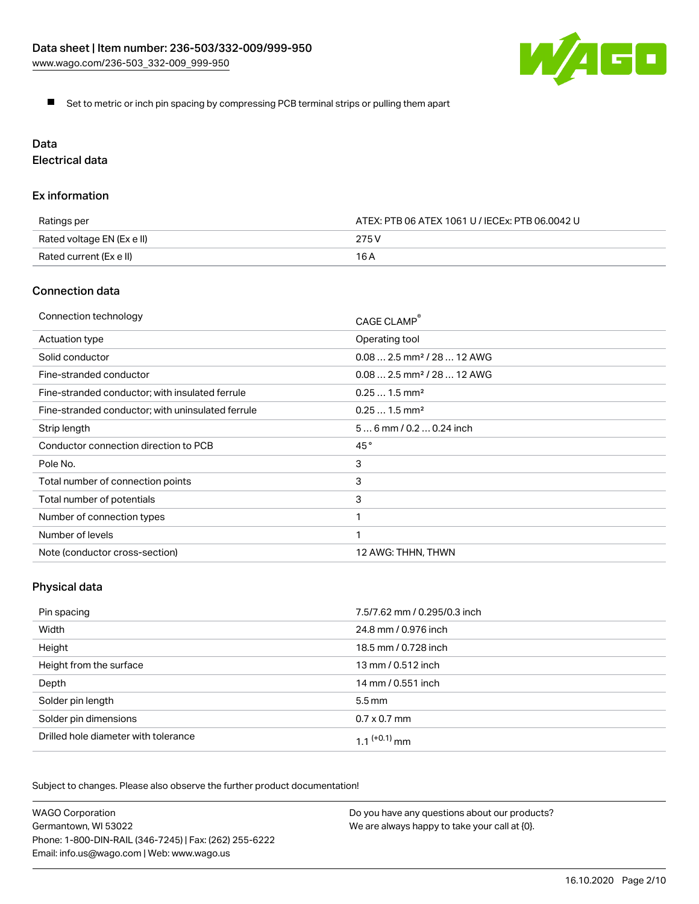![](_page_1_Picture_1.jpeg)

Set to metric or inch pin spacing by compressing PCB terminal strips or pulling them apart

# Data

Electrical data

#### Ex information

| Ratings per                | ATEX: PTB 06 ATEX 1061 U / IECEx: PTB 06.0042 U |  |
|----------------------------|-------------------------------------------------|--|
| Rated voltage EN (Ex e II) | 275 V                                           |  |
| Rated current (Ex e II)    | 16 A                                            |  |

#### Connection data

| Connection technology                             | CAGE CLAMP®                            |
|---------------------------------------------------|----------------------------------------|
| Actuation type                                    | Operating tool                         |
| Solid conductor                                   | $0.082.5$ mm <sup>2</sup> / 28  12 AWG |
| Fine-stranded conductor                           | $0.082.5$ mm <sup>2</sup> / 28  12 AWG |
| Fine-stranded conductor; with insulated ferrule   | $0.251.5$ mm <sup>2</sup>              |
| Fine-stranded conductor; with uninsulated ferrule | $0.251.5$ mm <sup>2</sup>              |
| Strip length                                      | $56$ mm / 0.2  0.24 inch               |
| Conductor connection direction to PCB             | 45°                                    |
| Pole No.                                          | 3                                      |
| Total number of connection points                 | 3                                      |
| Total number of potentials                        | 3                                      |
| Number of connection types                        |                                        |
| Number of levels                                  | 1                                      |
| Note (conductor cross-section)                    | 12 AWG: THHN, THWN                     |

## Physical data

| Pin spacing                          | 7.5/7.62 mm / 0.295/0.3 inch |
|--------------------------------------|------------------------------|
| Width                                | 24.8 mm / 0.976 inch         |
| Height                               | 18.5 mm / 0.728 inch         |
| Height from the surface              | 13 mm / 0.512 inch           |
| Depth                                | 14 mm / 0.551 inch           |
| Solder pin length                    | $5.5 \,\mathrm{mm}$          |
| Solder pin dimensions                | $0.7 \times 0.7$ mm          |
| Drilled hole diameter with tolerance | 1 1 $(+0.1)$ mm              |

Subject to changes. Please also observe the further product documentation!

| <b>WAGO Corporation</b>                                | Do you have any questions about our products? |
|--------------------------------------------------------|-----------------------------------------------|
| Germantown, WI 53022                                   | We are always happy to take your call at {0}. |
| Phone: 1-800-DIN-RAIL (346-7245)   Fax: (262) 255-6222 |                                               |
| Email: info.us@wago.com   Web: www.wago.us             |                                               |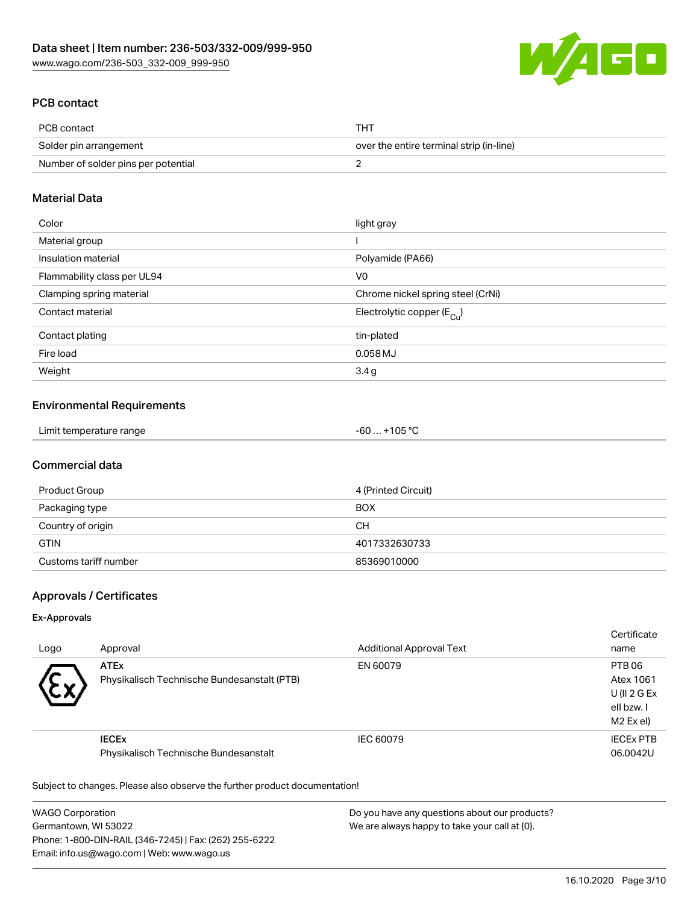![](_page_2_Picture_1.jpeg)

## PCB contact

| PCB contact                         | <b>THT</b>                               |
|-------------------------------------|------------------------------------------|
| Solder pin arrangement              | over the entire terminal strip (in-line) |
| Number of solder pins per potential |                                          |

#### Material Data

| Color                       | light gray                            |
|-----------------------------|---------------------------------------|
| Material group              |                                       |
| Insulation material         | Polyamide (PA66)                      |
| Flammability class per UL94 | V <sub>0</sub>                        |
| Clamping spring material    | Chrome nickel spring steel (CrNi)     |
| Contact material            | Electrolytic copper $(E_{\text{Cu}})$ |
| Contact plating             | tin-plated                            |
| Fire load                   | 0.058 MJ                              |
| Weight                      | 3.4 <sub>g</sub>                      |

#### Environmental Requirements

| Limit temperature range | $. +105 °C$<br>-60 |
|-------------------------|--------------------|
|-------------------------|--------------------|

## Commercial data

| Product Group         | 4 (Printed Circuit) |
|-----------------------|---------------------|
| Packaging type        | <b>BOX</b>          |
| Country of origin     | CН                  |
| <b>GTIN</b>           | 4017332630733       |
| Customs tariff number | 85369010000         |

## Approvals / Certificates

#### Ex-Approvals

| Logo      | Approval                                                   | <b>Additional Approval Text</b> | Certificate<br>name                                           |
|-----------|------------------------------------------------------------|---------------------------------|---------------------------------------------------------------|
| $\ddot{}$ | <b>ATEx</b><br>Physikalisch Technische Bundesanstalt (PTB) | EN 60079                        | PTB 06<br>Atex 1061<br>U(II 2 G Ex<br>ell bzw. I<br>M2 Ex el) |
|           | <b>IECEX</b><br>Physikalisch Technische Bundesanstalt      | IEC 60079                       | <b>IECEX PTB</b><br>06.0042U                                  |

Subject to changes. Please also observe the further product documentation!

WAGO Corporation Germantown, WI 53022 Phone: 1-800-DIN-RAIL (346-7245) | Fax: (262) 255-6222 Email: info.us@wago.com | Web: www.wago.us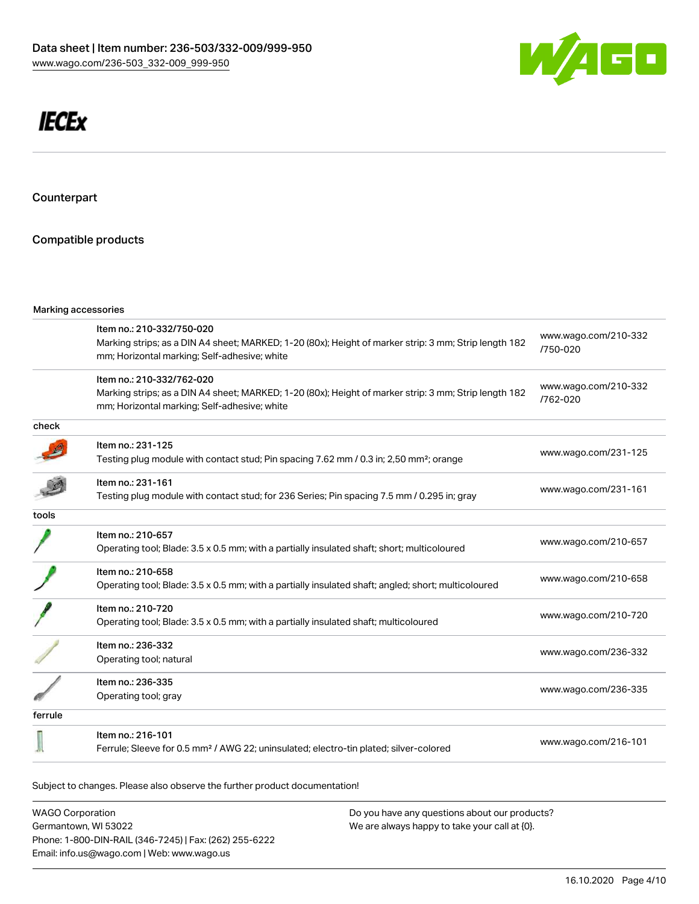![](_page_3_Picture_1.jpeg)

# **IECEx**

Counterpart

## Compatible products

|         | Marking accessories                                                                                                                                                                |                                  |  |
|---------|------------------------------------------------------------------------------------------------------------------------------------------------------------------------------------|----------------------------------|--|
|         | Item no.: 210-332/750-020<br>Marking strips; as a DIN A4 sheet; MARKED; 1-20 (80x); Height of marker strip: 3 mm; Strip length 182<br>mm; Horizontal marking; Self-adhesive; white | www.wago.com/210-332<br>/750-020 |  |
|         | Item no.: 210-332/762-020<br>Marking strips; as a DIN A4 sheet; MARKED; 1-20 (80x); Height of marker strip: 3 mm; Strip length 182<br>mm; Horizontal marking; Self-adhesive; white | www.wago.com/210-332<br>/762-020 |  |
| check   |                                                                                                                                                                                    |                                  |  |
|         | Item no.: 231-125<br>Testing plug module with contact stud; Pin spacing 7.62 mm / 0.3 in; 2,50 mm <sup>2</sup> ; orange                                                            | www.wago.com/231-125             |  |
|         | Item no.: 231-161<br>Testing plug module with contact stud; for 236 Series; Pin spacing 7.5 mm / 0.295 in; gray                                                                    | www.wago.com/231-161             |  |
| tools   |                                                                                                                                                                                    |                                  |  |
|         | Item no.: 210-657<br>Operating tool; Blade: 3.5 x 0.5 mm; with a partially insulated shaft; short; multicoloured                                                                   | www.wago.com/210-657             |  |
|         | Item no.: 210-658<br>Operating tool; Blade: 3.5 x 0.5 mm; with a partially insulated shaft; angled; short; multicoloured                                                           | www.wago.com/210-658             |  |
|         | Item no.: 210-720<br>Operating tool; Blade: 3.5 x 0.5 mm; with a partially insulated shaft; multicoloured                                                                          | www.wago.com/210-720             |  |
|         | Item no.: 236-332<br>Operating tool; natural                                                                                                                                       | www.wago.com/236-332             |  |
|         | Item no.: 236-335<br>Operating tool; gray                                                                                                                                          | www.wago.com/236-335             |  |
| ferrule |                                                                                                                                                                                    |                                  |  |
|         | Item no.: 216-101<br>Ferrule; Sleeve for 0.5 mm <sup>2</sup> / AWG 22; uninsulated; electro-tin plated; silver-colored                                                             | www.wago.com/216-101             |  |

Subject to changes. Please also observe the further product documentation!

WAGO Corporation Germantown, WI 53022 Phone: 1-800-DIN-RAIL (346-7245) | Fax: (262) 255-6222 Email: info.us@wago.com | Web: www.wago.us Do you have any questions about our products? We are always happy to take your call at {0}.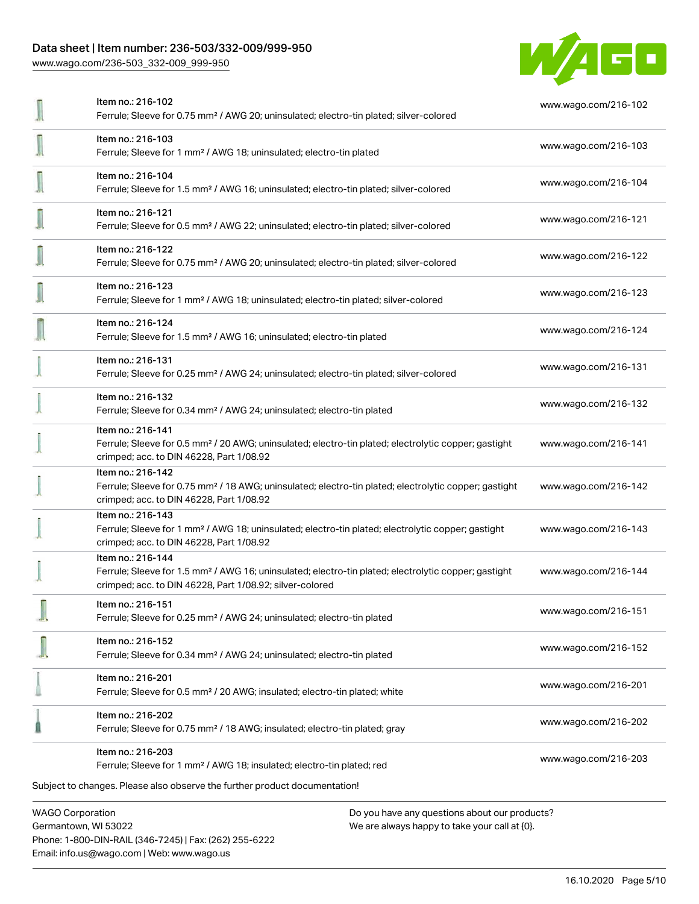#### Data sheet | Item number: 236-503/332-009/999-950

[www.wago.com/236-503\\_332-009\\_999-950](http://www.wago.com/236-503_332-009_999-950)

![](_page_4_Picture_2.jpeg)

| Item no.: 216-102<br>Ferrule; Sleeve for 0.75 mm <sup>2</sup> / AWG 20; uninsulated; electro-tin plated; silver-colored                                                                           | www.wago.com/216-102 |
|---------------------------------------------------------------------------------------------------------------------------------------------------------------------------------------------------|----------------------|
| Item no.: 216-103<br>Ferrule; Sleeve for 1 mm <sup>2</sup> / AWG 18; uninsulated; electro-tin plated                                                                                              | www.wago.com/216-103 |
| Item no.: 216-104<br>Ferrule; Sleeve for 1.5 mm <sup>2</sup> / AWG 16; uninsulated; electro-tin plated; silver-colored                                                                            | www.wago.com/216-104 |
| Item no.: 216-121<br>Ferrule; Sleeve for 0.5 mm <sup>2</sup> / AWG 22; uninsulated; electro-tin plated; silver-colored                                                                            | www.wago.com/216-121 |
| Item no.: 216-122<br>Ferrule; Sleeve for 0.75 mm <sup>2</sup> / AWG 20; uninsulated; electro-tin plated; silver-colored                                                                           | www.wago.com/216-122 |
| Item no.: 216-123<br>Ferrule; Sleeve for 1 mm <sup>2</sup> / AWG 18; uninsulated; electro-tin plated; silver-colored                                                                              | www.wago.com/216-123 |
| Item no.: 216-124<br>Ferrule; Sleeve for 1.5 mm <sup>2</sup> / AWG 16; uninsulated; electro-tin plated                                                                                            | www.wago.com/216-124 |
| Item no.: 216-131<br>Ferrule; Sleeve for 0.25 mm <sup>2</sup> / AWG 24; uninsulated; electro-tin plated; silver-colored                                                                           | www.wago.com/216-131 |
| Item no.: 216-132<br>Ferrule; Sleeve for 0.34 mm <sup>2</sup> / AWG 24; uninsulated; electro-tin plated                                                                                           | www.wago.com/216-132 |
| Item no.: 216-141<br>Ferrule; Sleeve for 0.5 mm <sup>2</sup> / 20 AWG; uninsulated; electro-tin plated; electrolytic copper; gastight<br>crimped; acc. to DIN 46228, Part 1/08.92                 | www.wago.com/216-141 |
| Item no.: 216-142<br>Ferrule; Sleeve for 0.75 mm <sup>2</sup> / 18 AWG; uninsulated; electro-tin plated; electrolytic copper; gastight<br>crimped; acc. to DIN 46228, Part 1/08.92                | www.wago.com/216-142 |
| Item no.: 216-143<br>Ferrule; Sleeve for 1 mm <sup>2</sup> / AWG 18; uninsulated; electro-tin plated; electrolytic copper; gastight<br>crimped; acc. to DIN 46228, Part 1/08.92                   | www.wago.com/216-143 |
| Item no.: 216-144<br>Ferrule; Sleeve for 1.5 mm <sup>2</sup> / AWG 16; uninsulated; electro-tin plated; electrolytic copper; gastight<br>crimped; acc. to DIN 46228, Part 1/08.92; silver-colored | www.wago.com/216-144 |
| Item no.: 216-151<br>Ferrule; Sleeve for 0.25 mm <sup>2</sup> / AWG 24; uninsulated; electro-tin plated                                                                                           | www.wago.com/216-151 |
| Item no.: 216-152<br>Ferrule; Sleeve for 0.34 mm <sup>2</sup> / AWG 24; uninsulated; electro-tin plated                                                                                           | www.wago.com/216-152 |
| Item no.: 216-201<br>Ferrule; Sleeve for 0.5 mm <sup>2</sup> / 20 AWG; insulated; electro-tin plated; white                                                                                       | www.wago.com/216-201 |
| Item no.: 216-202<br>Ferrule; Sleeve for 0.75 mm <sup>2</sup> / 18 AWG; insulated; electro-tin plated; gray                                                                                       | www.wago.com/216-202 |
| Item no.: 216-203<br>Ferrule; Sleeve for 1 mm <sup>2</sup> / AWG 18; insulated; electro-tin plated; red                                                                                           | www.wago.com/216-203 |
| Subject to changes. Please also observe the further product documentation!                                                                                                                        |                      |
| <b>WAGO Corporation</b><br>Do you have any questions about our products?                                                                                                                          |                      |

Germantown, WI 53022 Phone: 1-800-DIN-RAIL (346-7245) | Fax: (262) 255-6222 Email: info.us@wago.com | Web: www.wago.us

We are always happy to take your call at {0}.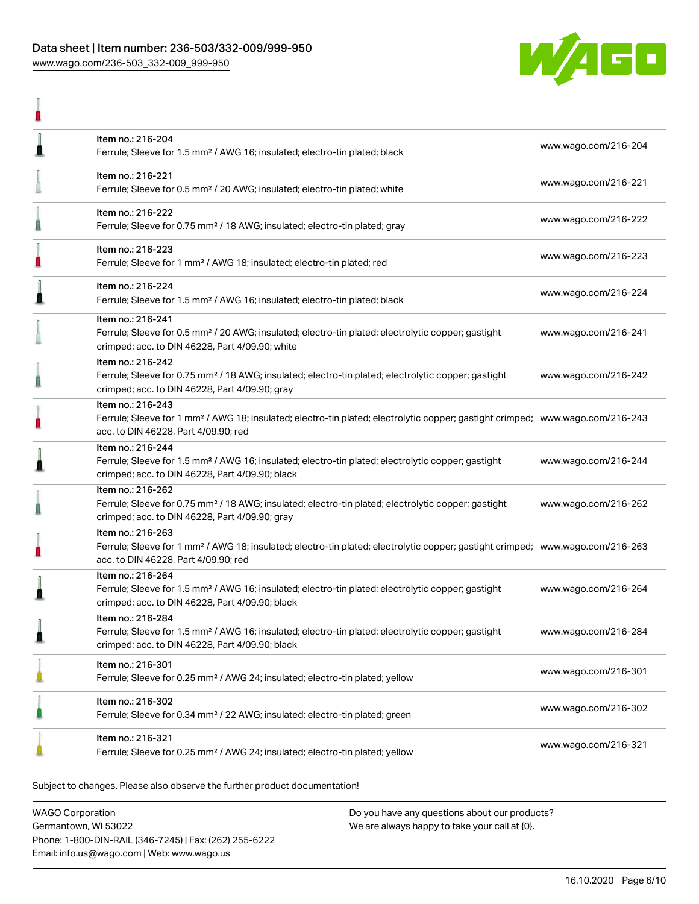#### Data sheet | Item number: 236-503/332-009/999-950 [www.wago.com/236-503\\_332-009\\_999-950](http://www.wago.com/236-503_332-009_999-950)

l

![](_page_5_Picture_1.jpeg)

| l | Item no.: 216-204<br>Ferrule; Sleeve for 1.5 mm <sup>2</sup> / AWG 16; insulated; electro-tin plated; black                                                                                             | www.wago.com/216-204 |
|---|---------------------------------------------------------------------------------------------------------------------------------------------------------------------------------------------------------|----------------------|
|   | Item no.: 216-221<br>Ferrule; Sleeve for 0.5 mm <sup>2</sup> / 20 AWG; insulated; electro-tin plated; white                                                                                             | www.wago.com/216-221 |
| ₫ | Item no.: 216-222<br>Ferrule; Sleeve for 0.75 mm <sup>2</sup> / 18 AWG; insulated; electro-tin plated; gray                                                                                             | www.wago.com/216-222 |
| П | Item no.: 216-223<br>Ferrule; Sleeve for 1 mm <sup>2</sup> / AWG 18; insulated; electro-tin plated; red                                                                                                 | www.wago.com/216-223 |
| ı | Item no.: 216-224<br>Ferrule; Sleeve for 1.5 mm <sup>2</sup> / AWG 16; insulated; electro-tin plated; black                                                                                             | www.wago.com/216-224 |
|   | Item no.: 216-241<br>Ferrule; Sleeve for 0.5 mm <sup>2</sup> / 20 AWG; insulated; electro-tin plated; electrolytic copper; gastight<br>crimped; acc. to DIN 46228, Part 4/09.90; white                  | www.wago.com/216-241 |
| Ä | Item no.: 216-242<br>Ferrule; Sleeve for 0.75 mm <sup>2</sup> / 18 AWG; insulated; electro-tin plated; electrolytic copper; gastight<br>crimped; acc. to DIN 46228, Part 4/09.90; gray                  | www.wago.com/216-242 |
| ı | Item no.: 216-243<br>Ferrule; Sleeve for 1 mm <sup>2</sup> / AWG 18; insulated; electro-tin plated; electrolytic copper; gastight crimped; www.wago.com/216-243<br>acc. to DIN 46228, Part 4/09.90; red |                      |
| ₫ | Item no.: 216-244<br>Ferrule; Sleeve for 1.5 mm <sup>2</sup> / AWG 16; insulated; electro-tin plated; electrolytic copper; gastight<br>crimped; acc. to DIN 46228, Part 4/09.90; black                  | www.wago.com/216-244 |
| h | Item no.: 216-262<br>Ferrule; Sleeve for 0.75 mm <sup>2</sup> / 18 AWG; insulated; electro-tin plated; electrolytic copper; gastight<br>crimped; acc. to DIN 46228, Part 4/09.90; gray                  | www.wago.com/216-262 |
|   | Item no.: 216-263<br>Ferrule; Sleeve for 1 mm <sup>2</sup> / AWG 18; insulated; electro-tin plated; electrolytic copper; gastight crimped; www.wago.com/216-263<br>acc. to DIN 46228, Part 4/09.90; red |                      |
| ≞ | Item no.: 216-264<br>Ferrule; Sleeve for 1.5 mm <sup>2</sup> / AWG 16; insulated; electro-tin plated; electrolytic copper; gastight<br>crimped; acc. to DIN 46228, Part 4/09.90; black                  | www.wago.com/216-264 |
| ≞ | Item no.: 216-284<br>Ferrule; Sleeve for 1.5 mm <sup>2</sup> / AWG 16; insulated; electro-tin plated; electrolytic copper; gastight<br>crimped; acc. to DIN 46228, Part 4/09.90; black                  | www.wago.com/216-284 |
|   | Item no.: 216-301<br>Ferrule; Sleeve for 0.25 mm <sup>2</sup> / AWG 24; insulated; electro-tin plated; yellow                                                                                           | www.wago.com/216-301 |
|   | Item no.: 216-302<br>Ferrule; Sleeve for 0.34 mm <sup>2</sup> / 22 AWG; insulated; electro-tin plated; green                                                                                            | www.wago.com/216-302 |
|   | Item no.: 216-321<br>Ferrule; Sleeve for 0.25 mm <sup>2</sup> / AWG 24; insulated; electro-tin plated; yellow                                                                                           | www.wago.com/216-321 |

Subject to changes. Please also observe the further product documentation!

WAGO Corporation Germantown, WI 53022 Phone: 1-800-DIN-RAIL (346-7245) | Fax: (262) 255-6222 Email: info.us@wago.com | Web: www.wago.us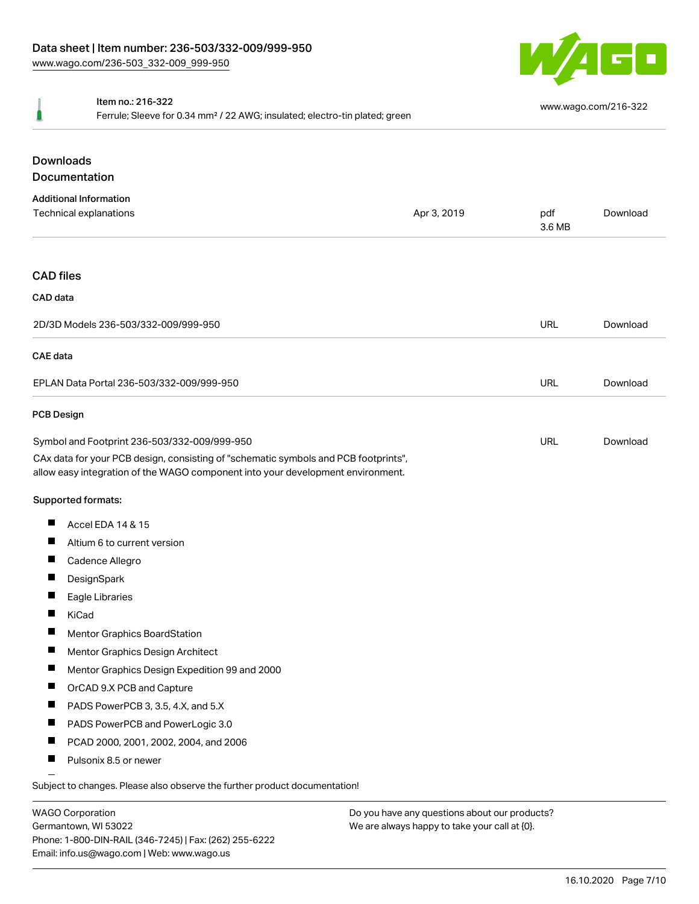![](_page_6_Picture_1.jpeg)

#### Item no.: 216-322

Ferrule; Sleeve for 0.34 mm² / 22 AWG; insulated; electro-tin plated; green

## Downloads Documentation

| <b>Additional Information</b><br>Technical explanations                                                                                                                                                                | Apr 3, 2019 | pdf<br>3.6 MB | Download |
|------------------------------------------------------------------------------------------------------------------------------------------------------------------------------------------------------------------------|-------------|---------------|----------|
| <b>CAD files</b>                                                                                                                                                                                                       |             |               |          |
| CAD data                                                                                                                                                                                                               |             |               |          |
| 2D/3D Models 236-503/332-009/999-950                                                                                                                                                                                   |             | <b>URL</b>    | Download |
| <b>CAE</b> data                                                                                                                                                                                                        |             |               |          |
| EPLAN Data Portal 236-503/332-009/999-950                                                                                                                                                                              |             | <b>URL</b>    | Download |
| <b>PCB Design</b>                                                                                                                                                                                                      |             |               |          |
| Symbol and Footprint 236-503/332-009/999-950<br>CAx data for your PCB design, consisting of "schematic symbols and PCB footprints",<br>allow easy integration of the WAGO component into your development environment. |             | <b>URL</b>    | Download |
| <b>Supported formats:</b>                                                                                                                                                                                              |             |               |          |
| ш<br>Accel EDA 14 & 15                                                                                                                                                                                                 |             |               |          |
| ш<br>Altium 6 to current version                                                                                                                                                                                       |             |               |          |
| $\blacksquare$<br>Cadence Allegro                                                                                                                                                                                      |             |               |          |
| П<br>DesignSpark                                                                                                                                                                                                       |             |               |          |
| ш<br>Eagle Libraries                                                                                                                                                                                                   |             |               |          |
| П<br>KiCad                                                                                                                                                                                                             |             |               |          |
| П<br>Mentor Graphics BoardStation                                                                                                                                                                                      |             |               |          |
| Е<br>Mentor Graphics Design Architect                                                                                                                                                                                  |             |               |          |
| П<br>Mentor Graphics Design Expedition 99 and 2000                                                                                                                                                                     |             |               |          |
| П<br>OrCAD 9.X PCB and Capture                                                                                                                                                                                         |             |               |          |
| ш<br>PADS PowerPCB 3, 3.5, 4.X, and 5.X                                                                                                                                                                                |             |               |          |
| ш<br>PADS PowerPCB and PowerLogic 3.0                                                                                                                                                                                  |             |               |          |
| L<br>PCAD 2000, 2001, 2002, 2004, and 2006                                                                                                                                                                             |             |               |          |
| $\blacksquare$<br>Pulsonix 8.5 or newer                                                                                                                                                                                |             |               |          |

WAGO Corporation Germantown, WI 53022 Phone: 1-800-DIN-RAIL (346-7245) | Fax: (262) 255-6222 Email: info.us@wago.com | Web: www.wago.us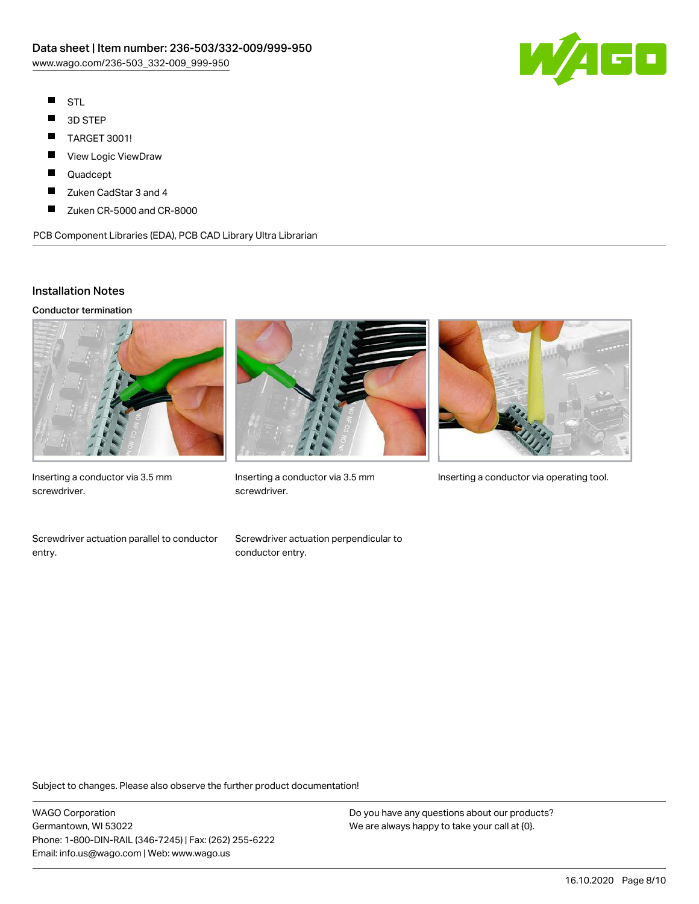![](_page_7_Picture_1.jpeg)

- $\blacksquare$ STL
- $\blacksquare$ 3D STEP
- $\blacksquare$ TARGET 3001!
- View Logic ViewDraw  $\blacksquare$
- П Quadcept
- П Zuken CadStar 3 and 4
- $\blacksquare$ Zuken CR-5000 and CR-8000

PCB Component Libraries (EDA), PCB CAD Library Ultra Librarian

#### Installation Notes

Conductor termination

![](_page_7_Picture_12.jpeg)

Inserting a conductor via 3.5 mm screwdriver.

![](_page_7_Picture_14.jpeg)

screwdriver.

![](_page_7_Picture_16.jpeg)

Inserting a conductor via 3.5 mm Inserting a conductor via operating tool.

Screwdriver actuation parallel to conductor entry.

Screwdriver actuation perpendicular to conductor entry.

Subject to changes. Please also observe the further product documentation!

WAGO Corporation Germantown, WI 53022 Phone: 1-800-DIN-RAIL (346-7245) | Fax: (262) 255-6222 Email: info.us@wago.com | Web: www.wago.us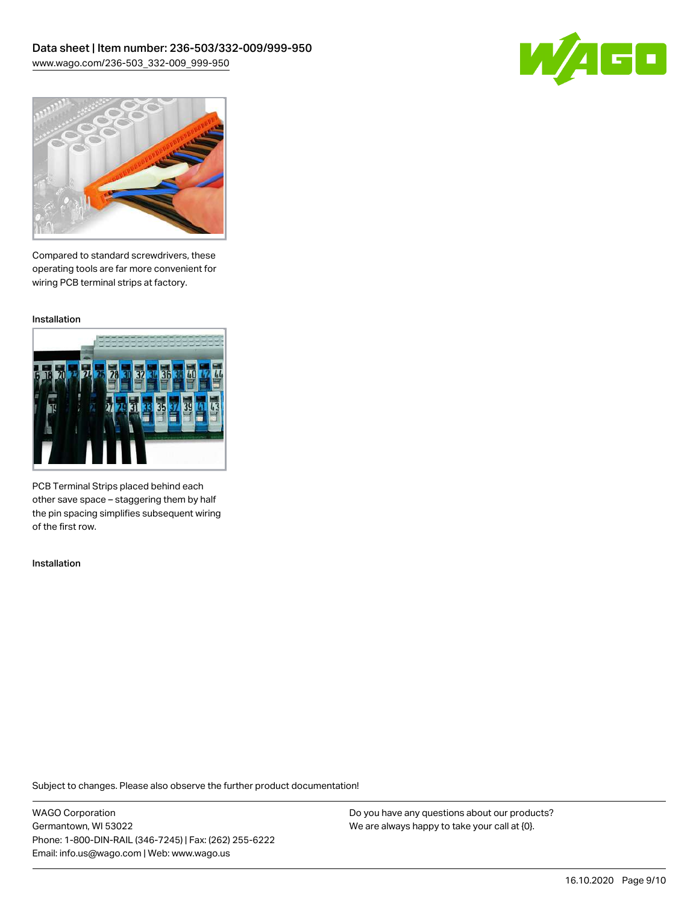![](_page_8_Picture_1.jpeg)

![](_page_8_Picture_2.jpeg)

Compared to standard screwdrivers, these operating tools are far more convenient for wiring PCB terminal strips at factory.

Installation

![](_page_8_Picture_5.jpeg)

PCB Terminal Strips placed behind each other save space – staggering them by half the pin spacing simplifies subsequent wiring of the first row.

Installation

Subject to changes. Please also observe the further product documentation!

WAGO Corporation Germantown, WI 53022 Phone: 1-800-DIN-RAIL (346-7245) | Fax: (262) 255-6222 Email: info.us@wago.com | Web: www.wago.us